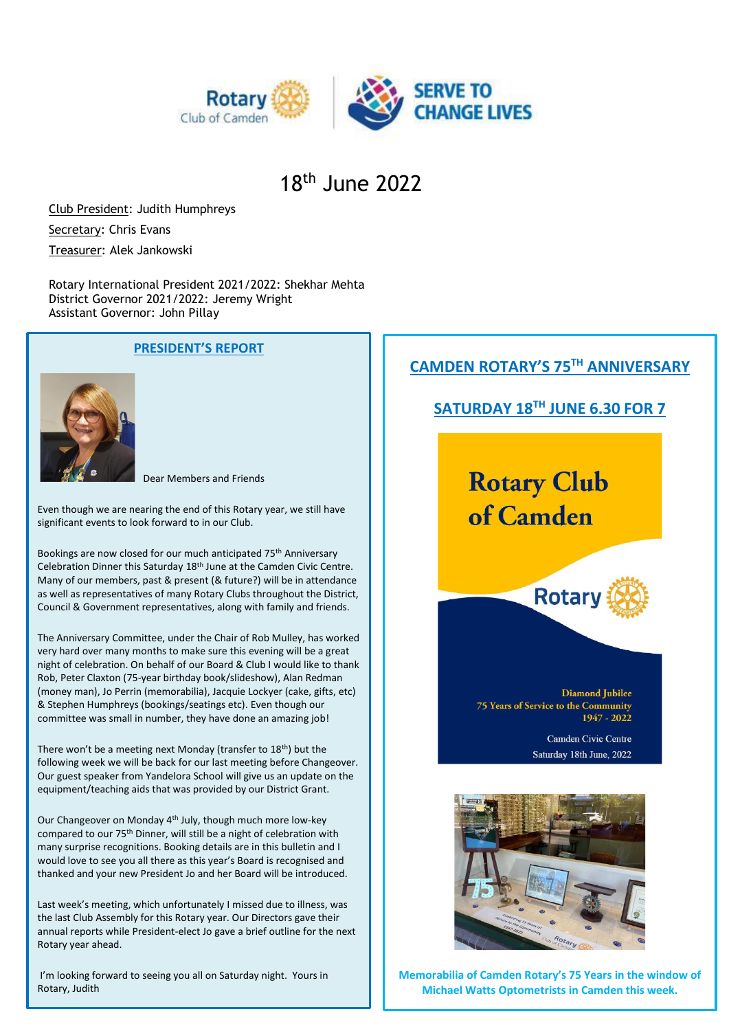

## 18th June 2022

Club President: Judith Humphreys Secretary: Chris Evans Treasurer: Alek Jankowski

Rotary International President 2021/2022: Shekhar Mehta District Governor 2021/2022: Jeremy Wright Assistant Governor: John Pillay

#### **PRESIDENT'S REPORT**



#### Dear Members and Friends

Even though we are nearing the end of this Rotary year, we still have significant events to look forward to in our Club.

Bookings are now closed for our much anticipated 75th Anniversary Celebration Dinner this Saturday 18th June at the Camden Civic Centre. Many of our members, past & present (& future?) will be in attendance as well as representatives of many Rotary Clubs throughout the District, Council & Government representatives, along with family and friends.

The Anniversary Committee, under the Chair of Rob Mulley, has worked very hard over many months to make sure this evening will be a great night of celebration. On behalf of our Board & Club I would like to thank Rob, Peter Claxton (75-year birthday book/slideshow), Alan Redman (money man), Jo Perrin (memorabilia), Jacquie Lockyer (cake, gifts, etc) & Stephen Humphreys (bookings/seatings etc). Even though our committee was small in number, they have done an amazing job!

There won't be a meeting next Monday (transfer to 18<sup>th</sup>) but the following week we will be back for our last meeting before Changeover. Our guest speaker from Yandelora School will give us an update on the equipment/teaching aids that was provided by our District Grant.

Our Changeover on Monday 4th July, though much more low-key compared to our 75th Dinner, will still be a night of celebration with many surprise recognitions. Booking details are in this bulletin and I would love to see you all there as this year's Board is recognised and thanked and your new President Jo and her Board will be introduced.

Last week's meeting, which unfortunately I missed due to illness, was the last Club Assembly for this Rotary year. Our Directors gave their annual reports while President-elect Jo gave a brief outline for the next Rotary year ahead.

I'm looking forward to seeing you all on Saturday night. Yours in Rotary, Judith

### **CAMDEN ROTARY'S 75TH ANNIVERSARY**

#### **SATURDAY 18TH JUNE 6.30 FOR 7**

# **Rotary Club** of Camden



**Diamond Jubilee 75 Years of Service to the Community** 1947 - 2022

> Camden Civic Centre Saturday 18th June, 2022



**Memorabilia of Camden Rotary's 75 Years in the window of Michael Watts Optometrists in Camden this week.**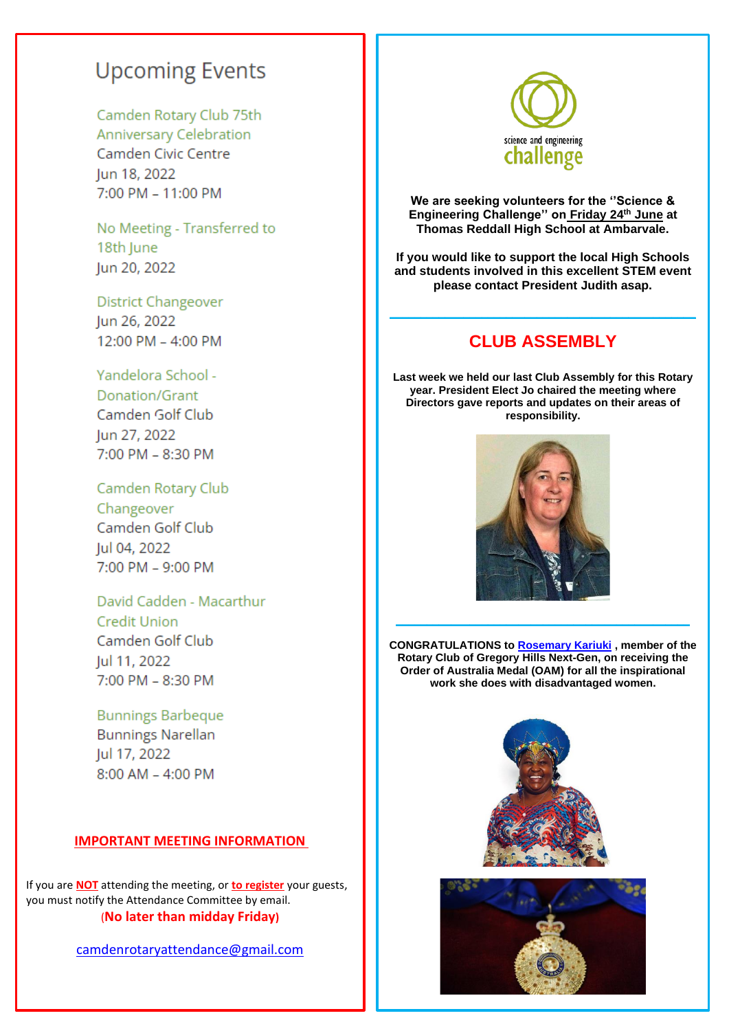## **Upcoming Events**

#### Camden Rotary Club 75th

Anniversary Celebration Camden Civic Centre Jun 18, 2022 7:00 PM - 11:00 PM

No Meeting - Transferred to 18th June Jun 20, 2022

**District Changeover** Jun 26, 2022 12:00 PM - 4:00 PM

#### Yandelora School -

Donation/Grant Camden Golf Club Jun 27, 2022 7:00 PM - 8:30 PM

Camden Rotary Club Changeover Camden Golf Club Jul 04, 2022 7:00 PM - 9:00 PM

### David Cadden - Macarthur **Credit Union** Camden Golf Club Jul 11, 2022 7:00 PM - 8:30 PM

**Bunnings Barbeque Bunnings Narellan** Jul 17, 2022  $8:00$  AM  $-$  4:00 PM

#### **IMPORTANT MEETING INFORMATION**

If you are **NOT** attending the meeting, or **to register** your guests, you must notify the Attendance Committee by email. (**No later than midday Friday)**

[camdenrotaryattendance@gmail.com](mailto:camdenrotaryattendance@gmail.com)



**We are seeking volunteers for the ''Science & Engineering Challenge'' on Friday 24th June at Thomas Reddall High School at Ambarvale.**

**If you would like to support the local High Schools and students involved in this excellent STEM event please contact President Judith asap.**

#### **CLUB ASSEMBLY**

**\_\_\_\_\_\_\_\_\_\_\_\_\_\_\_\_\_\_\_\_\_\_\_\_\_\_\_\_\_\_\_\_\_\_\_\_\_\_\_\_\_\_\_\_\_\_\_\_\_\_**

**Last week we held our last Club Assembly for this Rotary year. President Elect Jo chaired the meeting where Directors gave reports and updates on their areas of responsibility.**



**CONGRATULATIONS to [Rosemary Kariuki](https://www.facebook.com/rosemary.kariuki?__cft__%5b0%5d=AZWGFkx5qZWRWeZ2fg8P9ZSFsL28PrHHrofEZntciJMcGP4nmBQKQOmzBJsL9SJaC6UytGPfFJ3vO9QhRE70OIm6UV0UOb3MHz6cA06SNGR5Lo64_D0HHph8ipAl3GAQORpMEfEp1OHX6l904EUI3_QdCuy543iVUNOKjncC0jmc8fP4jVRpFn4w5dWxxRO8J8I&__tn__=-%5dK-R) , member of the Rotary Club of Gregory Hills Next-Gen, on receiving the Order of Australia Medal (OAM) for all the inspirational work she does with disadvantaged women.**

**\_\_\_\_\_\_\_\_\_\_\_\_\_\_\_\_\_\_\_\_\_\_\_\_\_\_\_\_\_\_\_\_\_\_\_\_\_\_\_\_\_\_\_\_\_\_\_\_**



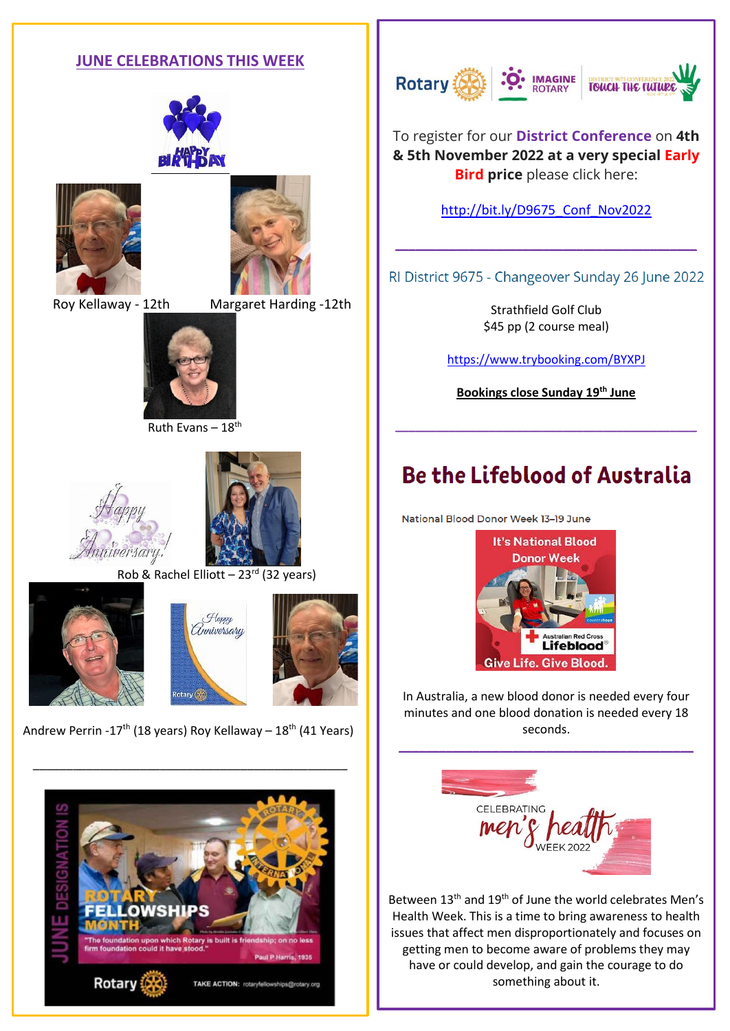#### **JUNE CELEBRATIONS THIS WEEK**







Roy Kellaway - 12th Margaret Harding -12th



Ruth Evans – 18th





Rob & Rachel Elliott –  $23^{rd}$  (32 years)







Andrew Perrin -17<sup>th</sup> (18 years) Roy Kellaway –  $18<sup>th</sup>$  (41 Years)

\_\_\_\_\_\_\_\_\_\_\_\_\_\_\_\_\_\_\_\_\_\_\_\_\_\_\_\_\_\_\_\_\_\_\_\_\_\_\_\_\_\_\_\_\_\_\_





To register for our **District Conference** on **4th & 5th November 2022 at a very special Early Bird price** please click here:

[http://bit.ly/D9675\\_Conf\\_Nov2022](https://bit.ly/D9675_Conf_Nov2022)

RI District 9675 - Changeover Sunday 26 June 2022

**\_\_\_\_\_\_\_\_\_\_\_\_\_\_\_\_\_\_\_\_\_\_\_\_\_\_\_\_\_\_\_\_\_\_\_\_\_\_\_\_\_\_\_\_\_**

Strathfield Golf Club \$45 pp (2 course meal)

<https://www.trybooking.com/BYXPJ>

**Bookings close Sunday 19th June**

**\_\_\_\_\_\_\_\_\_\_\_\_\_\_\_\_\_\_\_\_\_\_\_\_\_\_\_\_\_\_\_\_\_\_\_\_\_\_\_\_\_\_\_\_\_**

## **Be the Lifeblood of Australia**

National Blood Donor Week 13-19 June



In Australia, a new blood donor is needed every four minutes and one blood donation is needed every 18 seconds.

**\_\_\_\_\_\_\_\_\_\_\_\_\_\_\_\_\_\_\_\_\_\_\_\_\_\_\_\_\_\_\_\_\_\_\_\_\_\_\_\_\_\_\_\_**



Between 13<sup>th</sup> and 19<sup>th</sup> of June the world celebrates Men's Health Week. This is a time to bring awareness to health issues that affect men disproportionately and focuses on getting men to become aware of problems they may have or could develop, and gain the courage to do something about it.